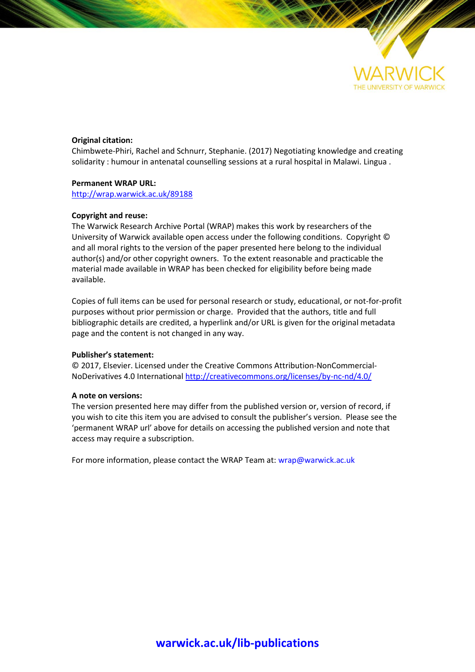

#### **Original citation:**

Chimbwete-Phiri, Rachel and Schnurr, Stephanie. (2017) Negotiating knowledge and creating solidarity : humour in antenatal counselling sessions at a rural hospital in Malawi. Lingua .

#### **Permanent WRAP URL:**

<http://wrap.warwick.ac.uk/89188>

#### **Copyright and reuse:**

The Warwick Research Archive Portal (WRAP) makes this work by researchers of the University of Warwick available open access under the following conditions. Copyright © and all moral rights to the version of the paper presented here belong to the individual author(s) and/or other copyright owners. To the extent reasonable and practicable the material made available in WRAP has been checked for eligibility before being made available.

Copies of full items can be used for personal research or study, educational, or not-for-profit purposes without prior permission or charge. Provided that the authors, title and full bibliographic details are credited, a hyperlink and/or URL is given for the original metadata page and the content is not changed in any way.

#### **Publisher's statement:**

© 2017, Elsevier. Licensed under the Creative Commons Attribution-NonCommercial-NoDerivatives 4.0 International<http://creativecommons.org/licenses/by-nc-nd/4.0/>

#### **A note on versions:**

The version presented here may differ from the published version or, version of record, if you wish to cite this item you are advised to consult the publisher's version. Please see the 'permanent WRAP url' above for details on accessing the published version and note that access may require a subscription.

For more information, please contact the WRAP Team at[: wrap@warwick.ac.uk](mailto:wrap@warwick.ac.uk)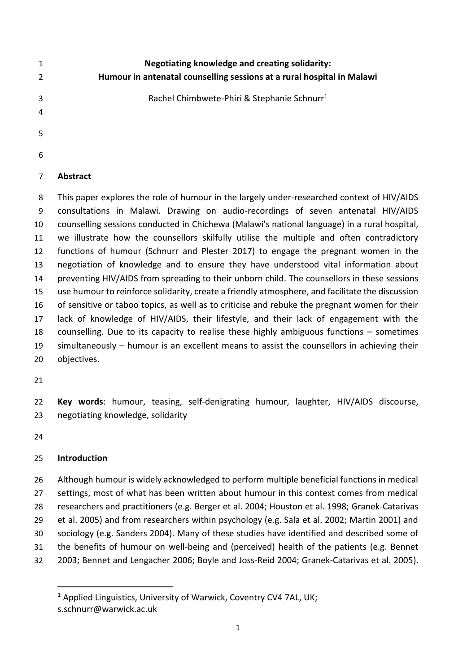| 1                   | Negotiating knowledge and creating solidarity:                         |
|---------------------|------------------------------------------------------------------------|
| $\overline{2}$      | Humour in antenatal counselling sessions at a rural hospital in Malawi |
| 3<br>$\overline{4}$ | Rachel Chimbwete-Phiri & Stephanie Schnurr <sup>1</sup>                |
| -5                  |                                                                        |
| -6                  |                                                                        |

## **Abstract**

 This paper explores the role of humour in the largely under-researched context of HIV/AIDS consultations in Malawi. Drawing on audio-recordings of seven antenatal HIV/AIDS counselling sessions conducted in Chichewa (Malawi's national language) in a rural hospital, we illustrate how the counsellors skilfully utilise the multiple and often contradictory functions of humour (Schnurr and Plester 2017) to engage the pregnant women in the negotiation of knowledge and to ensure they have understood vital information about 14 preventing HIV/AIDS from spreading to their unborn child. The counsellors in these sessions use humour to reinforce solidarity, create a friendly atmosphere, and facilitate the discussion of sensitive or taboo topics, as well as to criticise and rebuke the pregnant women for their lack of knowledge of HIV/AIDS, their lifestyle, and their lack of engagement with the counselling. Due to its capacity to realise these highly ambiguous functions – sometimes simultaneously – humour is an excellent means to assist the counsellors in achieving their objectives.

 **Key words**: humour, teasing, self-denigrating humour, laughter, HIV/AIDS discourse, negotiating knowledge, solidarity

## **Introduction**

 Although humour is widely acknowledged to perform multiple beneficial functions in medical settings, most of what has been written about humour in this context comes from medical researchers and practitioners (e.g. Berger et al. 2004; Houston et al. 1998; Granek-Catarivas et al. 2005) and from researchers within psychology (e.g. Sala et al. 2002; Martin 2001) and sociology (e.g. Sanders 2004). Many of these studies have identified and described some of the benefits of humour on well-being and (perceived) health of the patients (e.g. Bennet 2003; Bennet and Lengacher 2006; Boyle and Joss-Reid 2004; Granek-Catarivas et al. 2005).

<sup>&</sup>lt;sup>1</sup> Applied Linguistics, University of Warwick, Coventry CV4 7AL, UK; s.schnurr@warwick.ac.uk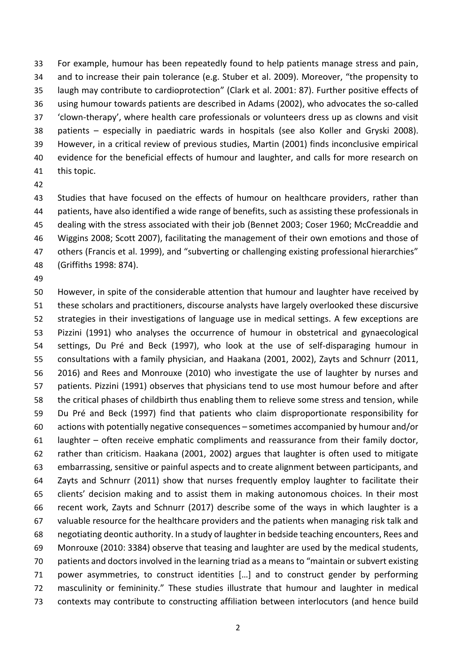For example, humour has been repeatedly found to help patients manage stress and pain, and to increase their pain tolerance (e.g. Stuber et al. 2009). Moreover, "the propensity to laugh may contribute to cardioprotection" (Clark et al. 2001: 87). Further positive effects of using humour towards patients are described in Adams (2002), who advocates the so-called 'clown-therapy', where health care professionals or volunteers dress up as clowns and visit patients – especially in paediatric wards in hospitals (see also Koller and Gryski 2008). However, in a critical review of previous studies, Martin (2001) finds inconclusive empirical 40 evidence for the beneficial effects of humour and laughter, and calls for more research on this topic.

 Studies that have focused on the effects of humour on healthcare providers, rather than patients, have also identified a wide range of benefits, such as assisting these professionals in dealing with the stress associated with their job (Bennet 2003; Coser 1960; McCreaddie and Wiggins 2008; Scott 2007), facilitating the management of their own emotions and those of others (Francis et al. 1999), and "subverting or challenging existing professional hierarchies" (Griffiths 1998: 874).

 However, in spite of the considerable attention that humour and laughter have received by these scholars and practitioners, discourse analysts have largely overlooked these discursive strategies in their investigations of language use in medical settings. A few exceptions are Pizzini (1991) who analyses the occurrence of humour in obstetrical and gynaecological settings, Du Pré and Beck (1997), who look at the use of self-disparaging humour in consultations with a family physician, and Haakana (2001, 2002), Zayts and Schnurr (2011, 2016) and Rees and Monrouxe (2010) who investigate the use of laughter by nurses and patients. Pizzini (1991) observes that physicians tend to use most humour before and after the critical phases of childbirth thus enabling them to relieve some stress and tension, while Du Pré and Beck (1997) find that patients who claim disproportionate responsibility for actions with potentially negative consequences – sometimes accompanied by humour and/or laughter – often receive emphatic compliments and reassurance from their family doctor, rather than criticism. Haakana (2001, 2002) argues that laughter is often used to mitigate embarrassing, sensitive or painful aspects and to create alignment between participants, and Zayts and Schnurr (2011) show that nurses frequently employ laughter to facilitate their clients' decision making and to assist them in making autonomous choices. In their most recent work, Zayts and Schnurr (2017) describe some of the ways in which laughter is a valuable resource for the healthcare providers and the patients when managing risk talk and negotiating deontic authority. In a study of laughter in bedside teaching encounters, Rees and Monrouxe (2010: 3384) observe that teasing and laughter are used by the medical students, patients and doctors involved in the learning triad as a means to "maintain or subvert existing power asymmetries, to construct identities […] and to construct gender by performing masculinity or femininity." These studies illustrate that humour and laughter in medical contexts may contribute to constructing affiliation between interlocutors (and hence build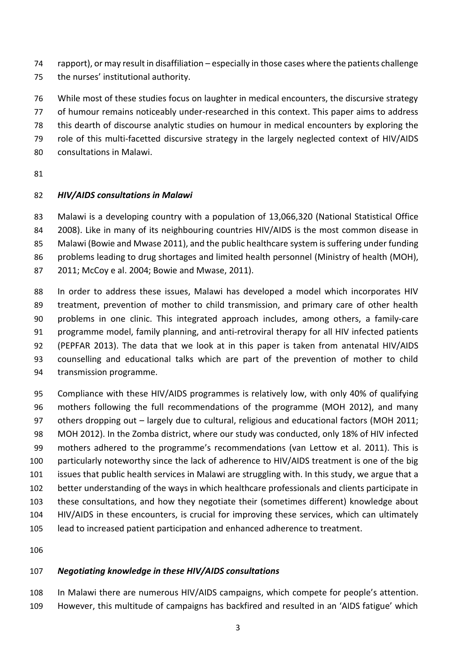- rapport), or may result in disaffiliation especially in those cases where the patients challenge
- the nurses' institutional authority.
- While most of these studies focus on laughter in medical encounters, the discursive strategy of humour remains noticeably under-researched in this context. This paper aims to address this dearth of discourse analytic studies on humour in medical encounters by exploring the role of this multi-facetted discursive strategy in the largely neglected context of HIV/AIDS consultations in Malawi.
- 

# *HIV/AIDS consultations in Malawi*

Malawi is a developing country with a population of 13,066,320 (National Statistical Office

2008). Like in many of its neighbouring countries HIV/AIDS is the most common disease in

 Malawi (Bowie and Mwase 2011), and the public healthcare system is suffering under funding 86 problems leading to drug shortages and limited health personnel (Ministry of health (MOH),

2011; McCoy e al. 2004; Bowie and Mwase, 2011).

88 In order to address these issues, Malawi has developed a model which incorporates HIV treatment, prevention of mother to child transmission, and primary care of other health problems in one clinic. This integrated approach includes, among others, a family-care programme model, family planning, and anti-retroviral therapy for all HIV infected patients (PEPFAR 2013). The data that we look at in this paper is taken from antenatal HIV/AIDS counselling and educational talks which are part of the prevention of mother to child transmission programme.

 Compliance with these HIV/AIDS programmes is relatively low, with only 40% of qualifying mothers following the full recommendations of the programme (MOH 2012), and many others dropping out – largely due to cultural, religious and educational factors (MOH 2011; MOH 2012). In the Zomba district, where our study was conducted, only 18% of HIV infected mothers adhered to the programme's recommendations (van Lettow et al. 2011). This is particularly noteworthy since the lack of adherence to HIV/AIDS treatment is one of the big issues that public health services in Malawi are struggling with. In this study, we argue that a better understanding of the ways in which healthcare professionals and clients participate in these consultations, and how they negotiate their (sometimes different) knowledge about HIV/AIDS in these encounters, is crucial for improving these services, which can ultimately lead to increased patient participation and enhanced adherence to treatment.

# *Negotiating knowledge in these HIV/AIDS consultations*

 In Malawi there are numerous HIV/AIDS campaigns, which compete for people's attention. However, this multitude of campaigns has backfired and resulted in an 'AIDS fatigue' which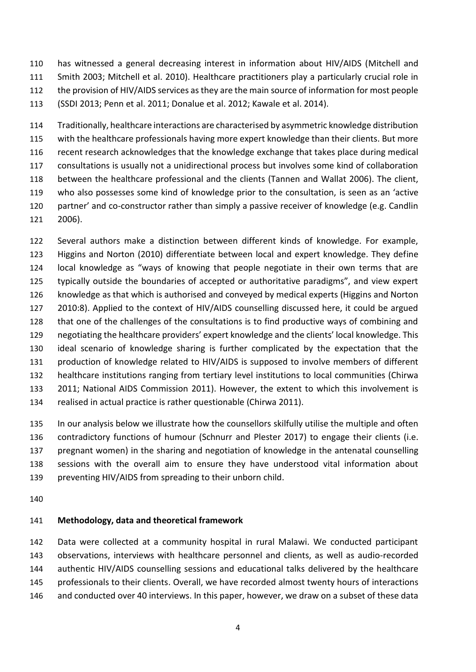has witnessed a general decreasing interest in information about HIV/AIDS (Mitchell and Smith 2003; Mitchell et al. 2010). Healthcare practitioners play a particularly crucial role in the provision of HIV/AIDS services as they are the main source of information for most people (SSDI 2013; Penn et al. 2011; Donalue et al. 2012; Kawale et al. 2014).

 Traditionally, healthcare interactions are characterised by asymmetric knowledge distribution with the healthcare professionals having more expert knowledge than their clients. But more recent research acknowledges that the knowledge exchange that takes place during medical consultations is usually not a unidirectional process but involves some kind of collaboration between the healthcare professional and the clients (Tannen and Wallat 2006). The client, who also possesses some kind of knowledge prior to the consultation, is seen as an 'active partner' and co-constructor rather than simply a passive receiver of knowledge (e.g. Candlin 2006).

 Several authors make a distinction between different kinds of knowledge. For example, Higgins and Norton (2010) differentiate between local and expert knowledge. They define local knowledge as "ways of knowing that people negotiate in their own terms that are typically outside the boundaries of accepted or authoritative paradigms", and view expert knowledge as that which is authorised and conveyed by medical experts (Higgins and Norton 2010:8). Applied to the context of HIV/AIDS counselling discussed here, it could be argued that one of the challenges of the consultations is to find productive ways of combining and negotiating the healthcare providers' expert knowledge and the clients' local knowledge. This ideal scenario of knowledge sharing is further complicated by the expectation that the production of knowledge related to HIV/AIDS is supposed to involve members of different healthcare institutions ranging from tertiary level institutions to local communities (Chirwa 2011; National AIDS Commission 2011). However, the extent to which this involvement is realised in actual practice is rather questionable (Chirwa 2011).

 In our analysis below we illustrate how the counsellors skilfully utilise the multiple and often contradictory functions of humour (Schnurr and Plester 2017) to engage their clients (i.e. pregnant women) in the sharing and negotiation of knowledge in the antenatal counselling sessions with the overall aim to ensure they have understood vital information about 139 preventing HIV/AIDS from spreading to their unborn child.

## **Methodology, data and theoretical framework**

 Data were collected at a community hospital in rural Malawi. We conducted participant observations, interviews with healthcare personnel and clients, as well as audio-recorded authentic HIV/AIDS counselling sessions and educational talks delivered by the healthcare professionals to their clients. Overall, we have recorded almost twenty hours of interactions and conducted over 40 interviews. In this paper, however, we draw on a subset of these data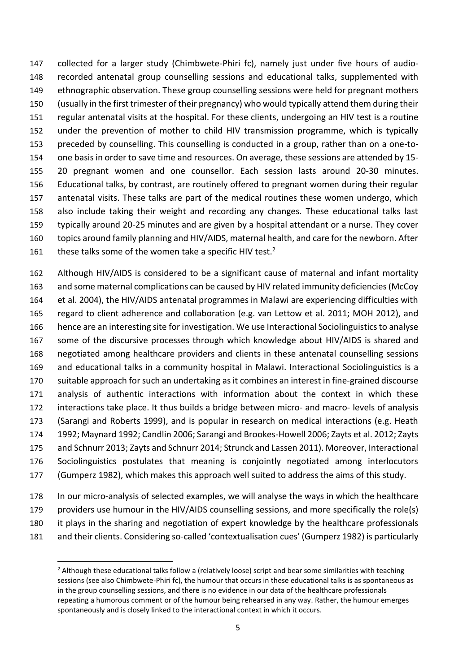collected for a larger study (Chimbwete-Phiri fc), namely just under five hours of audio- recorded antenatal group counselling sessions and educational talks, supplemented with ethnographic observation. These group counselling sessions were held for pregnant mothers (usually in the first trimester of their pregnancy) who would typically attend them during their regular antenatal visits at the hospital. For these clients, undergoing an HIV test is a routine under the prevention of mother to child HIV transmission programme, which is typically preceded by counselling. This counselling is conducted in a group, rather than on a one-to- one basis in order to save time and resources. On average, these sessions are attended by 15- 20 pregnant women and one counsellor. Each session lasts around 20-30 minutes. Educational talks, by contrast, are routinely offered to pregnant women during their regular antenatal visits. These talks are part of the medical routines these women undergo, which also include taking their weight and recording any changes. These educational talks last typically around 20-25 minutes and are given by a hospital attendant or a nurse. They cover topics around family planning and HIV/AIDS, maternal health, and care for the newborn. After 161 these talks some of the women take a specific HIV test.<sup>2</sup>

 Although HIV/AIDS is considered to be a significant cause of maternal and infant mortality and some maternal complications can be caused by HIV related immunity deficiencies (McCoy et al. 2004), the HIV/AIDS antenatal programmes in Malawi are experiencing difficulties with regard to client adherence and collaboration (e.g. van Lettow et al. 2011; MOH 2012), and hence are an interesting site for investigation. We use Interactional Sociolinguistics to analyse some of the discursive processes through which knowledge about HIV/AIDS is shared and negotiated among healthcare providers and clients in these antenatal counselling sessions and educational talks in a community hospital in Malawi. Interactional Sociolinguistics is a suitable approach for such an undertaking as it combines an interest in fine-grained discourse analysis of authentic interactions with information about the context in which these interactions take place. It thus builds a bridge between micro- and macro- levels of analysis (Sarangi and Roberts 1999), and is popular in research on medical interactions (e.g. Heath 1992; Maynard 1992; Candlin 2006; Sarangi and Brookes-Howell 2006; Zayts et al. 2012; Zayts and Schnurr 2013; Zayts and Schnurr 2014; Strunck and Lassen 2011). Moreover, Interactional Sociolinguistics postulates that meaning is conjointly negotiated among interlocutors (Gumperz 1982), which makes this approach well suited to address the aims of this study.

 In our micro-analysis of selected examples, we will analyse the ways in which the healthcare providers use humour in the HIV/AIDS counselling sessions, and more specifically the role(s) it plays in the sharing and negotiation of expert knowledge by the healthcare professionals and their clients. Considering so-called 'contextualisation cues' (Gumperz 1982) is particularly

 $\overline{a}$ 

<sup>&</sup>lt;sup>2</sup> Although these educational talks follow a (relatively loose) script and bear some similarities with teaching sessions (see also Chimbwete-Phiri fc), the humour that occurs in these educational talks is as spontaneous as in the group counselling sessions, and there is no evidence in our data of the healthcare professionals repeating a humorous comment or of the humour being rehearsed in any way. Rather, the humour emerges spontaneously and is closely linked to the interactional context in which it occurs.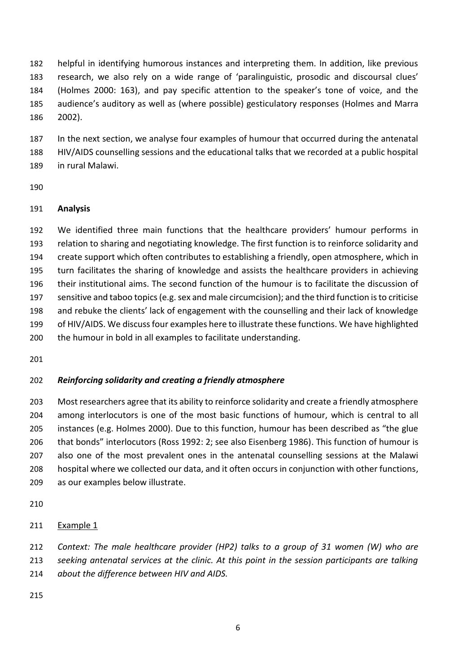helpful in identifying humorous instances and interpreting them. In addition, like previous research, we also rely on a wide range of 'paralinguistic, prosodic and discoursal clues' (Holmes 2000: 163), and pay specific attention to the speaker's tone of voice, and the audience's auditory as well as (where possible) gesticulatory responses (Holmes and Marra 2002).

 In the next section, we analyse four examples of humour that occurred during the antenatal HIV/AIDS counselling sessions and the educational talks that we recorded at a public hospital in rural Malawi.

## **Analysis**

 We identified three main functions that the healthcare providers' humour performs in relation to sharing and negotiating knowledge. The first function is to reinforce solidarity and create support which often contributes to establishing a friendly, open atmosphere, which in turn facilitates the sharing of knowledge and assists the healthcare providers in achieving their institutional aims. The second function of the humour is to facilitate the discussion of sensitive and taboo topics (e.g. sex and male circumcision); and the third function is to criticise and rebuke the clients' lack of engagement with the counselling and their lack of knowledge 199 of HIV/AIDS. We discuss four examples here to illustrate these functions. We have highlighted the humour in bold in all examples to facilitate understanding.

## *Reinforcing solidarity and creating a friendly atmosphere*

 Most researchers agree that its ability to reinforce solidarity and create a friendly atmosphere among interlocutors is one of the most basic functions of humour, which is central to all instances (e.g. Holmes 2000). Due to this function, humour has been described as "the glue that bonds" interlocutors (Ross 1992: 2; see also Eisenberg 1986). This function of humour is also one of the most prevalent ones in the antenatal counselling sessions at the Malawi hospital where we collected our data, and it often occurs in conjunction with other functions, as our examples below illustrate.

### Example 1

*Context: The male healthcare provider (HP2) talks to a group of 31 women (W) who are* 

*seeking antenatal services at the clinic. At this point in the session participants are talking* 

*about the difference between HIV and AIDS.*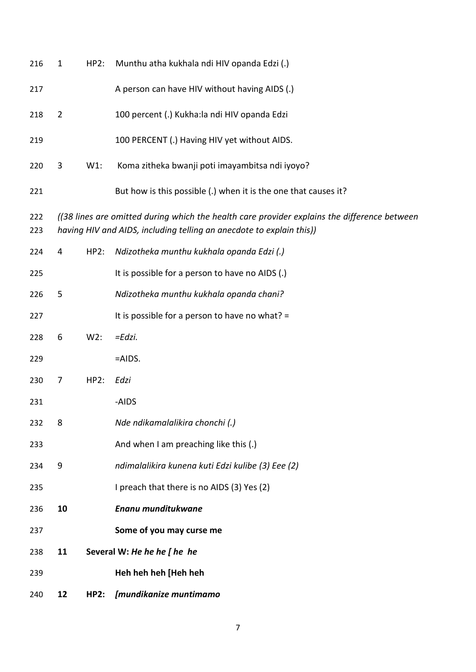| 216        | $\mathbf{1}$   | HP2:        | Munthu atha kukhala ndi HIV opanda Edzi (.)                                                                                                                          |
|------------|----------------|-------------|----------------------------------------------------------------------------------------------------------------------------------------------------------------------|
| 217        |                |             | A person can have HIV without having AIDS (.)                                                                                                                        |
| 218        | $\overline{2}$ |             | 100 percent (.) Kukha:la ndi HIV opanda Edzi                                                                                                                         |
| 219        |                |             | 100 PERCENT (.) Having HIV yet without AIDS.                                                                                                                         |
| 220        | 3              | $W1$ :      | Koma zitheka bwanji poti imayambitsa ndi iyoyo?                                                                                                                      |
| 221        |                |             | But how is this possible (.) when it is the one that causes it?                                                                                                      |
| 222<br>223 |                |             | ((38 lines are omitted during which the health care provider explains the difference between<br>having HIV and AIDS, including telling an anecdote to explain this)) |
| 224        | 4              | HP2:        | Ndizotheka munthu kukhala opanda Edzi (.)                                                                                                                            |
| 225        |                |             | It is possible for a person to have no AIDS (.)                                                                                                                      |
| 226        | 5              |             | Ndizotheka munthu kukhala opanda chani?                                                                                                                              |
| 227        |                |             | It is possible for a person to have no what? =                                                                                                                       |
| 228        | 6              | $W2$ :      | $=Edzi.$                                                                                                                                                             |
| 229        |                |             | $=$ AIDS.                                                                                                                                                            |
| 230        | 7              | HP2:        | Edzi                                                                                                                                                                 |
| 231        |                |             | -AIDS                                                                                                                                                                |
| 232        | 8              |             | Nde ndikamalalikira chonchi (.)                                                                                                                                      |
| 233        |                |             | And when I am preaching like this (.)                                                                                                                                |
| 234        | 9              |             | ndimalalikira kunena kuti Edzi kulibe (3) Eee (2)                                                                                                                    |
| 235        |                |             | I preach that there is no AIDS (3) Yes (2)                                                                                                                           |
| 236        | 10             |             | Enanu munditukwane                                                                                                                                                   |
| 237        |                |             | Some of you may curse me                                                                                                                                             |
| 238        | 11             |             | Several W: He he he [ he he                                                                                                                                          |
| 239        |                |             | Heh heh heh [Heh heh                                                                                                                                                 |
| 240        | 12             | <b>HP2:</b> | [mundikanize muntimamo                                                                                                                                               |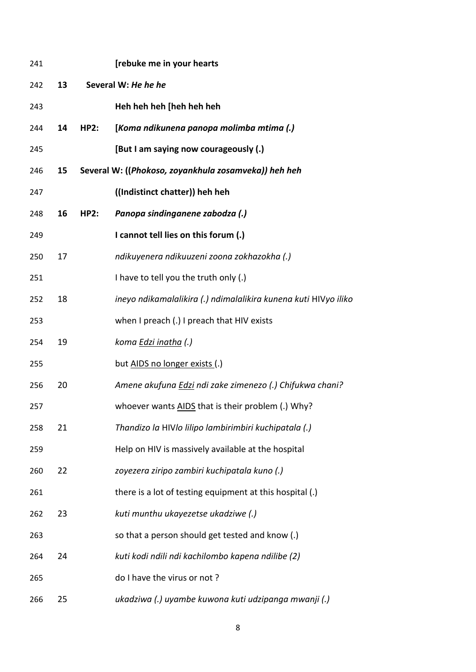| 241 |    |             | [rebuke me in your hearts                                       |
|-----|----|-------------|-----------------------------------------------------------------|
| 242 | 13 |             | Several W: He he he                                             |
| 243 |    |             | Heh heh heh [heh heh heh                                        |
| 244 | 14 | <b>HP2:</b> | [Koma ndikunena panopa molimba mtima (.)                        |
| 245 |    |             | [But I am saying now courageously (.)                           |
| 246 | 15 |             | Several W: ((Phokoso, zoyankhula zosamveka)) heh heh            |
| 247 |    |             | ((Indistinct chatter)) heh heh                                  |
| 248 | 16 | <b>HP2:</b> | Panopa sindinganene zabodza (.)                                 |
| 249 |    |             | I cannot tell lies on this forum (.)                            |
| 250 | 17 |             | ndikuyenera ndikuuzeni zoona zokhazokha (.)                     |
| 251 |    |             | I have to tell you the truth only (.)                           |
| 252 | 18 |             | ineyo ndikamalalikira (.) ndimalalikira kunena kuti HIVyo iliko |
| 253 |    |             | when I preach (.) I preach that HIV exists                      |
| 254 | 19 |             | koma Edzi inatha (.)                                            |
| 255 |    |             | but AIDS no longer exists (.)                                   |
| 256 | 20 |             | Amene akufuna Edzi ndi zake zimenezo (.) Chifukwa chani?        |
| 257 |    |             | whoever wants AIDS that is their problem (.) Why?               |
| 258 | 21 |             | Thandizo la HIVIo lilipo lambirimbiri kuchipatala (.)           |
| 259 |    |             | Help on HIV is massively available at the hospital              |
| 260 | 22 |             | zoyezera ziripo zambiri kuchipatala kuno (.)                    |
| 261 |    |             | there is a lot of testing equipment at this hospital (.)        |
| 262 | 23 |             | kuti munthu ukayezetse ukadziwe (.)                             |
| 263 |    |             | so that a person should get tested and know (.)                 |
| 264 | 24 |             | kuti kodi ndili ndi kachilombo kapena ndilibe (2)               |
| 265 |    |             | do I have the virus or not?                                     |
| 266 | 25 |             | ukadziwa (.) uyambe kuwona kuti udzipanga mwanji (.)            |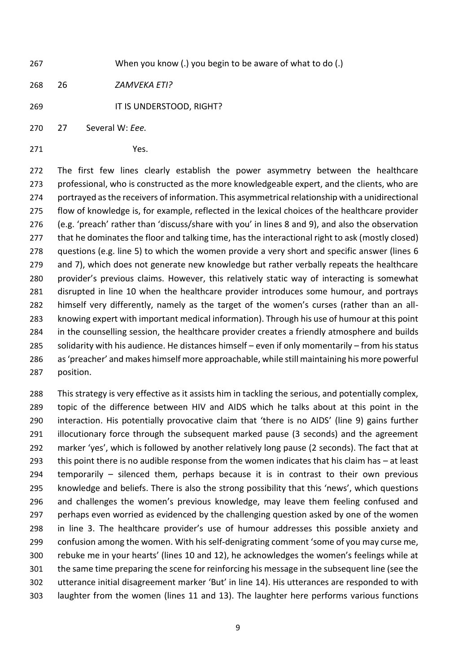When you know (.) you begin to be aware of what to do (.)

26 *ZAMVEKA ETI?*

IT IS UNDERSTOOD, RIGHT?

27 Several W: *Eee.*

Yes.

 The first few lines clearly establish the power asymmetry between the healthcare professional, who is constructed as the more knowledgeable expert, and the clients, who are portrayed as the receivers of information. This asymmetrical relationship with a unidirectional flow of knowledge is, for example, reflected in the lexical choices of the healthcare provider (e.g. 'preach' rather than 'discuss/share with you' in lines 8 and 9), and also the observation that he dominates the floor and talking time, has the interactional right to ask (mostly closed) questions (e.g. line 5) to which the women provide a very short and specific answer (lines 6 and 7), which does not generate new knowledge but rather verbally repeats the healthcare provider's previous claims. However, this relatively static way of interacting is somewhat disrupted in line 10 when the healthcare provider introduces some humour, and portrays himself very differently, namely as the target of the women's curses (rather than an all- knowing expert with important medical information). Through his use of humour at this point in the counselling session, the healthcare provider creates a friendly atmosphere and builds solidarity with his audience. He distances himself – even if only momentarily – from his status as 'preacher' and makes himself more approachable, while still maintaining his more powerful position.

 This strategy is very effective as it assists him in tackling the serious, and potentially complex, topic of the difference between HIV and AIDS which he talks about at this point in the interaction. His potentially provocative claim that 'there is no AIDS' (line 9) gains further illocutionary force through the subsequent marked pause (3 seconds) and the agreement marker 'yes', which is followed by another relatively long pause (2 seconds). The fact that at this point there is no audible response from the women indicates that his claim has – at least temporarily – silenced them, perhaps because it is in contrast to their own previous knowledge and beliefs. There is also the strong possibility that this 'news', which questions and challenges the women's previous knowledge, may leave them feeling confused and perhaps even worried as evidenced by the challenging question asked by one of the women in line 3. The healthcare provider's use of humour addresses this possible anxiety and confusion among the women. With his self-denigrating comment 'some of you may curse me, rebuke me in your hearts' (lines 10 and 12), he acknowledges the women's feelings while at the same time preparing the scene for reinforcing his message in the subsequent line (see the utterance initial disagreement marker 'But' in line 14). His utterances are responded to with laughter from the women (lines 11 and 13). The laughter here performs various functions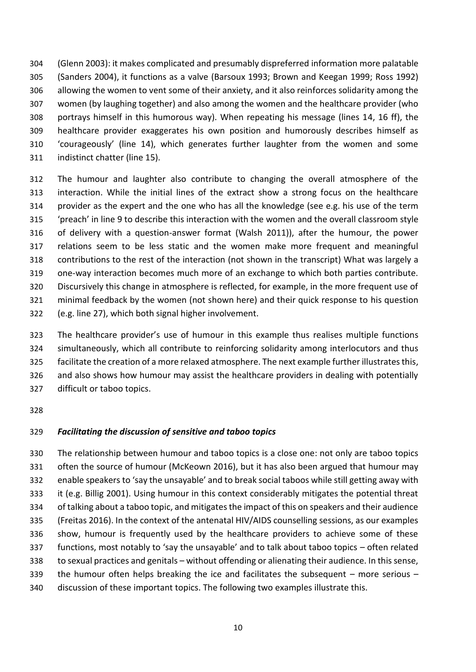(Glenn 2003): it makes complicated and presumably dispreferred information more palatable (Sanders 2004), it functions as a valve (Barsoux 1993; Brown and Keegan 1999; Ross 1992) allowing the women to vent some of their anxiety, and it also reinforces solidarity among the women (by laughing together) and also among the women and the healthcare provider (who portrays himself in this humorous way). When repeating his message (lines 14, 16 ff), the healthcare provider exaggerates his own position and humorously describes himself as 'courageously' (line 14), which generates further laughter from the women and some indistinct chatter (line 15).

 The humour and laughter also contribute to changing the overall atmosphere of the interaction. While the initial lines of the extract show a strong focus on the healthcare provider as the expert and the one who has all the knowledge (see e.g. his use of the term 'preach' in line 9 to describe this interaction with the women and the overall classroom style of delivery with a question-answer format (Walsh 2011)), after the humour, the power relations seem to be less static and the women make more frequent and meaningful contributions to the rest of the interaction (not shown in the transcript) What was largely a one-way interaction becomes much more of an exchange to which both parties contribute. Discursively this change in atmosphere is reflected, for example, in the more frequent use of minimal feedback by the women (not shown here) and their quick response to his question (e.g. line 27), which both signal higher involvement.

 The healthcare provider's use of humour in this example thus realises multiple functions simultaneously, which all contribute to reinforcing solidarity among interlocutors and thus facilitate the creation of a more relaxed atmosphere. The next example further illustrates this, and also shows how humour may assist the healthcare providers in dealing with potentially difficult or taboo topics.

### *Facilitating the discussion of sensitive and taboo topics*

 The relationship between humour and taboo topics is a close one: not only are taboo topics often the source of humour (McKeown 2016), but it has also been argued that humour may enable speakers to 'say the unsayable' and to break social taboos while still getting away with it (e.g. Billig 2001). Using humour in this context considerably mitigates the potential threat of talking about a taboo topic, and mitigates the impact of this on speakers and their audience (Freitas 2016). In the context of the antenatal HIV/AIDS counselling sessions, as our examples show, humour is frequently used by the healthcare providers to achieve some of these functions, most notably to 'say the unsayable' and to talk about taboo topics – often related to sexual practices and genitals – without offending or alienating their audience. In this sense, the humour often helps breaking the ice and facilitates the subsequent – more serious – discussion of these important topics. The following two examples illustrate this.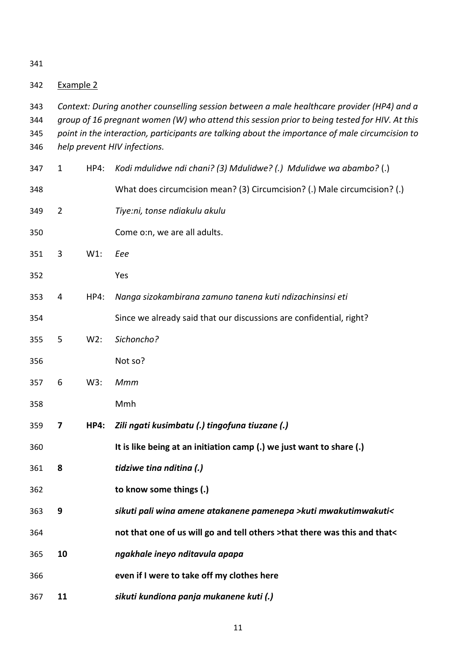| 342 | Example 2 |  |
|-----|-----------|--|
|     |           |  |

- *Context: During another counselling session between a male healthcare provider (HP4) and a group of 16 pregnant women (W) who attend this session prior to being tested for HIV. At this*
- *point in the interaction, participants are talking about the importance of male circumcision to help prevent HIV infections.*
- 1 HP4: *Kodi mdulidwe ndi chani? (3) Mdulidwe? (.) Mdulidwe wa abambo?* (.) What does circumcision mean? (3) Circumcision? (.) Male circumcision? (.) 2 *Tiye:ni, tonse ndiakulu akulu* Come o:n, we are all adults. 3 W1: *Eee* Yes 4 HP4: *Nanga sizokambirana zamuno tanena kuti ndizachinsinsi eti* Since we already said that our discussions are confidential, right? 5 W2: *Sichoncho?* Not so? 6 W3: *Mmm* Mmh **7 HP4:** *Zili ngati kusimbatu (.) tingofuna tiuzane (.)* **It is like being at an initiation camp (.) we just want to share (.) 8** *tidziwe tina nditina (.)* **to know some things (.) 9** *sikuti pali wina amene atakanene pamenepa >kuti mwakutimwakuti<* **not that one of us will go and tell others >that there was this and that< 10** *ngakhale ineyo nditavula apapa* **even if I were to take off my clothes here 11** *sikuti kundiona panja mukanene kuti (.)*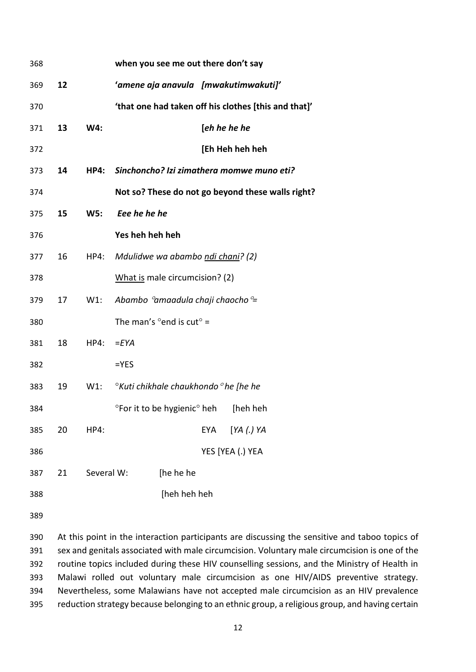| 368 |    |             | when you see me out there don't say                   |
|-----|----|-------------|-------------------------------------------------------|
| 369 | 12 |             | 'amene aja anavula [mwakutimwakuti]'                  |
| 370 |    |             | 'that one had taken off his clothes [this and that]'  |
| 371 | 13 | W4:         | [eh he he he                                          |
| 372 |    |             | [Eh Heh heh heh                                       |
| 373 | 14 | <b>HP4:</b> | Sinchoncho? Izi zimathera momwe muno eti?             |
| 374 |    |             | Not so? These do not go beyond these walls right?     |
| 375 | 15 | <b>W5:</b>  | Eee he he he                                          |
| 376 |    |             | Yes heh heh heh                                       |
| 377 | 16 | HP4:        | Mdulidwe wa abambo ndi chani? (2)                     |
| 378 |    |             | What is male circumcision? (2)                        |
| 379 | 17 | $W1$ :      | Abambo $^{\circ}$ amaadula chaji chaocho $^{\circ}$ = |
| 380 |    |             | The man's $^{\circ}$ end is cut $^{\circ}$ =          |
| 381 | 18 | HP4:        | $=$ $EYA$                                             |
| 382 |    |             | $=$ YES                                               |
| 383 | 19 | W1:         | °Kuti chikhale chaukhondo °he [he he                  |
| 384 |    |             | °For it to be hygienic° heh<br>[heh heh               |
| 385 | 20 | HP4:        | [YA (.) YA<br><b>EYA</b>                              |
| 386 |    |             | YES [YEA (.) YEA                                      |
| 387 | 21 | Several W:  | [he he he                                             |
| 388 |    |             | [heh heh heh                                          |
|     |    |             |                                                       |

 At this point in the interaction participants are discussing the sensitive and taboo topics of sex and genitals associated with male circumcision. Voluntary male circumcision is one of the routine topics included during these HIV counselling sessions, and the Ministry of Health in Malawi rolled out voluntary male circumcision as one HIV/AIDS preventive strategy. Nevertheless, some Malawians have not accepted male circumcision as an HIV prevalence reduction strategy because belonging to an ethnic group, a religious group, and having certain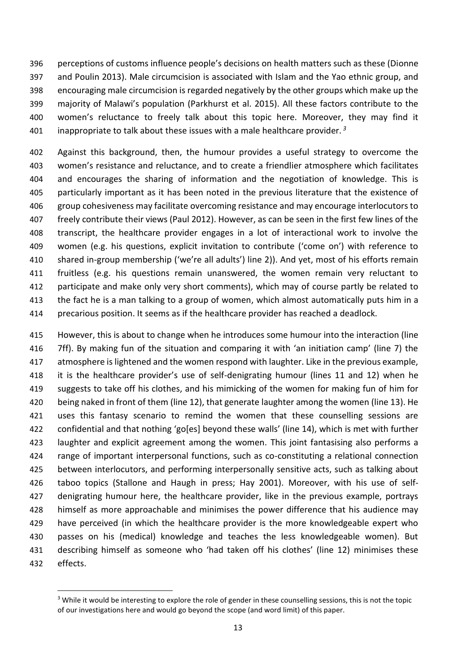perceptions of customs influence people's decisions on health matters such as these (Dionne and Poulin 2013). Male circumcision is associated with Islam and the Yao ethnic group, and encouraging male circumcision is regarded negatively by the other groups which make up the majority of Malawi's population (Parkhurst et al. 2015). All these factors contribute to the women's reluctance to freely talk about this topic here. Moreover, they may find it inappropriate to talk about these issues with a male healthcare provider. *<sup>3</sup>*

 Against this background, then, the humour provides a useful strategy to overcome the women's resistance and reluctance, and to create a friendlier atmosphere which facilitates and encourages the sharing of information and the negotiation of knowledge. This is particularly important as it has been noted in the previous literature that the existence of group cohesiveness may facilitate overcoming resistance and may encourage interlocutors to freely contribute their views (Paul 2012). However, as can be seen in the first few lines of the transcript, the healthcare provider engages in a lot of interactional work to involve the women (e.g. his questions, explicit invitation to contribute ('come on') with reference to shared in-group membership ('we're all adults') line 2)). And yet, most of his efforts remain fruitless (e.g. his questions remain unanswered, the women remain very reluctant to 412 participate and make only very short comments), which may of course partly be related to 413 the fact he is a man talking to a group of women, which almost automatically puts him in a precarious position. It seems as if the healthcare provider has reached a deadlock.

 However, this is about to change when he introduces some humour into the interaction (line 7ff). By making fun of the situation and comparing it with 'an initiation camp' (line 7) the 417 atmosphere is lightened and the women respond with laughter. Like in the previous example, it is the healthcare provider's use of self-denigrating humour (lines 11 and 12) when he suggests to take off his clothes, and his mimicking of the women for making fun of him for being naked in front of them (line 12), that generate laughter among the women (line 13). He 421 uses this fantasy scenario to remind the women that these counselling sessions are confidential and that nothing 'go[es] beyond these walls' (line 14), which is met with further laughter and explicit agreement among the women. This joint fantasising also performs a range of important interpersonal functions, such as co-constituting a relational connection between interlocutors, and performing interpersonally sensitive acts, such as talking about taboo topics (Stallone and Haugh in press; Hay 2001). Moreover, with his use of self- denigrating humour here, the healthcare provider, like in the previous example, portrays himself as more approachable and minimises the power difference that his audience may have perceived (in which the healthcare provider is the more knowledgeable expert who passes on his (medical) knowledge and teaches the less knowledgeable women). But describing himself as someone who 'had taken off his clothes' (line 12) minimises these effects.

**.** 

<sup>&</sup>lt;sup>3</sup> While it would be interesting to explore the role of gender in these counselling sessions, this is not the topic of our investigations here and would go beyond the scope (and word limit) of this paper.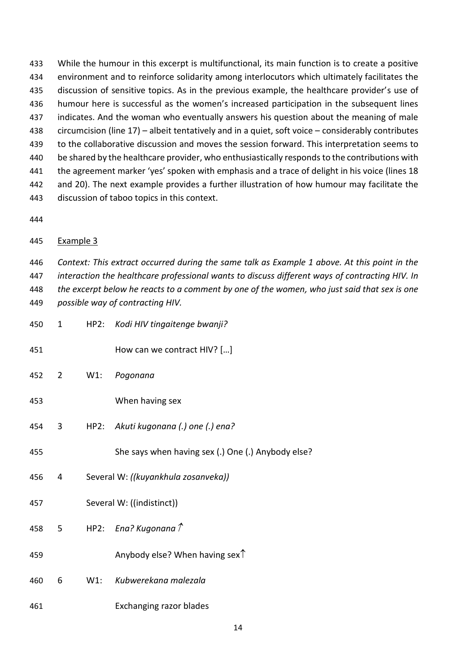While the humour in this excerpt is multifunctional, its main function is to create a positive environment and to reinforce solidarity among interlocutors which ultimately facilitates the discussion of sensitive topics. As in the previous example, the healthcare provider's use of humour here is successful as the women's increased participation in the subsequent lines 437 indicates. And the woman who eventually answers his question about the meaning of male circumcision (line 17) – albeit tentatively and in a quiet, soft voice – considerably contributes to the collaborative discussion and moves the session forward. This interpretation seems to 440 be shared by the healthcare provider, who enthusiastically responds to the contributions with the agreement marker 'yes' spoken with emphasis and a trace of delight in his voice (lines 18 and 20). The next example provides a further illustration of how humour may facilitate the discussion of taboo topics in this context.

## Example 3

 *Context: This extract occurred during the same talk as Example 1 above. At this point in the interaction the healthcare professional wants to discuss different ways of contracting HIV. In the excerpt below he reacts to a comment by one of the women, who just said that sex is one possible way of contracting HIV.*

 How can we contract HIV? […] 2 W1: *Pogonana* When having sex 3 HP2: *Akuti kugonana (.) one (.) ena?* She says when having sex (.) One (.) Anybody else? 4 Several W: *((kuyankhula zosanveka))* Several W: ((indistinct)) 5 HP2: *Ena? Kugonana* **Anybody else?** When having sex $\uparrow$  6 W1: *Kubwerekana malezala* Exchanging razor blades

1 HP2: *Kodi HIV tingaitenge bwanji?*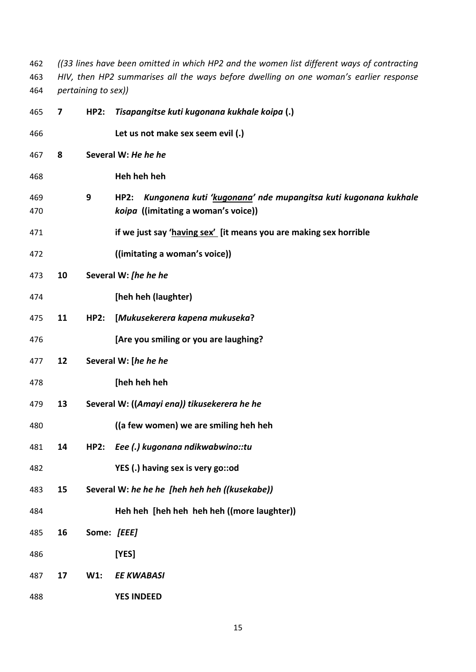*((33 lines have been omitted in which HP2 and the women list different ways of contracting HIV, then HP2 summarises all the ways before dwelling on one woman's earlier response pertaining to sex))*

| 465        | 7  | <b>HP2:</b> | Tisapangitse kuti kugonana kukhale koipa (.)                                                                  |
|------------|----|-------------|---------------------------------------------------------------------------------------------------------------|
| 466        |    |             | Let us not make sex seem evil (.)                                                                             |
| 467        | 8  |             | Several W: He he he                                                                                           |
| 468        |    |             | Heh heh heh                                                                                                   |
| 469<br>470 |    | 9           | Kungonena kuti 'kugonana' nde mupangitsa kuti kugonana kukhale<br>HP2:<br>koipa ((imitating a woman's voice)) |
| 471        |    |             | if we just say 'having sex' [it means you are making sex horrible                                             |
| 472        |    |             | ((imitating a woman's voice))                                                                                 |
| 473        | 10 |             | Several W: [he he he                                                                                          |
| 474        |    |             | [heh heh (laughter)                                                                                           |
| 475        | 11 | <b>HP2:</b> | [Mukusekerera kapena mukuseka?                                                                                |
| 476        |    |             | [Are you smiling or you are laughing?                                                                         |
| 477        | 12 |             | Several W: [he he he                                                                                          |
| 478        |    |             | [heh heh heh                                                                                                  |
| 479        | 13 |             | Several W: ((Amayi ena)) tikusekerera he he                                                                   |
| 480        |    |             | ((a few women) we are smiling heh heh                                                                         |
| 481        | 14 | HP2:        | Eee (.) kugonana ndikwabwino::tu                                                                              |
| 482        |    |             | YES (.) having sex is very go::od                                                                             |
| 483        | 15 |             | Several W: he he he [heh heh heh ((kusekabe))                                                                 |
| 484        |    |             | Heh heh [heh heh heh heh ((more laughter))                                                                    |
| 485        | 16 | Some: [EEE] |                                                                                                               |
| 486        |    |             | [YES]                                                                                                         |
| 487        | 17 | $W1$ :      | <b>EE KWABASI</b>                                                                                             |
| 488        |    |             | <b>YES INDEED</b>                                                                                             |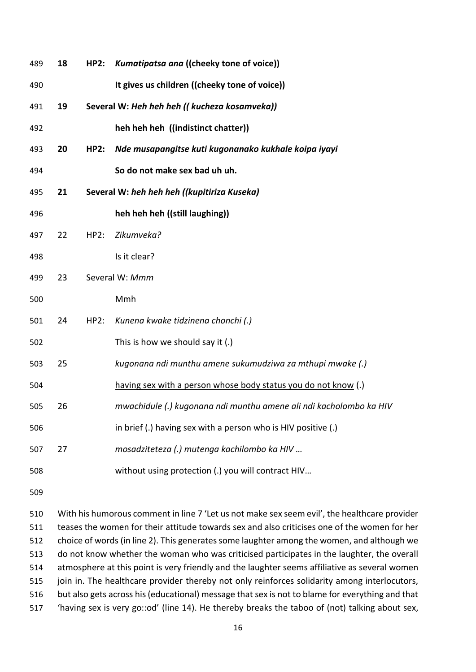| 489 | 18 | HP2: | Kumatipatsa ana ((cheeky tone of voice))                           |
|-----|----|------|--------------------------------------------------------------------|
| 490 |    |      | It gives us children ((cheeky tone of voice))                      |
| 491 | 19 |      | Several W: Heh heh heh (( kucheza kosamveka))                      |
| 492 |    |      | heh heh heh ((indistinct chatter))                                 |
| 493 | 20 | HP2: | Nde musapangitse kuti kugonanako kukhale koipa iyayi               |
| 494 |    |      | So do not make sex bad uh uh.                                      |
| 495 | 21 |      | Several W: heh heh heh ((kupitiriza Kuseka)                        |
| 496 |    |      | heh heh heh ((still laughing))                                     |
| 497 | 22 | HP2: | Zikumveka?                                                         |
| 498 |    |      | Is it clear?                                                       |
| 499 | 23 |      | Several W: Mmm                                                     |
| 500 |    |      | Mmh                                                                |
| 501 | 24 | HP2: | Kunena kwake tidzinena chonchi (.)                                 |
| 502 |    |      | This is how we should say it (.)                                   |
| 503 | 25 |      | kugonana ndi munthu amene sukumudziwa za mthupi mwake (.)          |
| 504 |    |      | having sex with a person whose body status you do not know (.)     |
| 505 | 26 |      | mwachidule (.) kugonana ndi munthu amene ali ndi kacholombo ka HIV |
| 506 |    |      | in brief (.) having sex with a person who is HIV positive (.)      |
| 507 | 27 |      | mosadziteteza (.) mutenga kachilombo ka HIV                        |
| 508 |    |      | without using protection (.) you will contract HIV                 |

 With his humorous comment in line 7 'Let us not make sex seem evil', the healthcare provider teases the women for their attitude towards sex and also criticises one of the women for her choice of words (in line 2). This generates some laughter among the women, and although we do not know whether the woman who was criticised participates in the laughter, the overall atmosphere at this point is very friendly and the laughter seems affiliative as several women join in. The healthcare provider thereby not only reinforces solidarity among interlocutors, but also gets across his (educational) message that sex is not to blame for everything and that 'having sex is very go::od' (line 14). He thereby breaks the taboo of (not) talking about sex,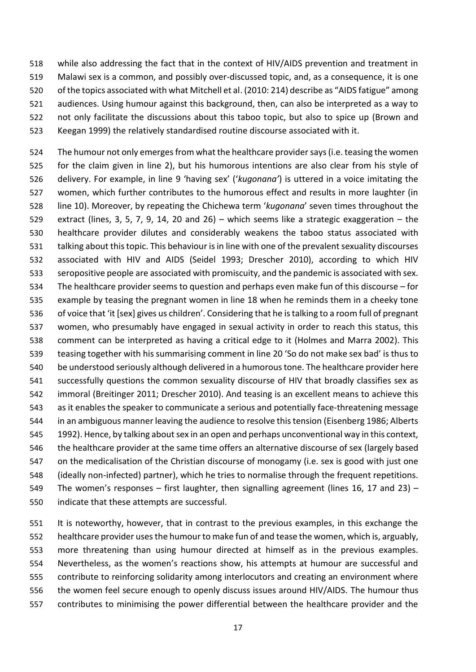while also addressing the fact that in the context of HIV/AIDS prevention and treatment in Malawi sex is a common, and possibly over-discussed topic, and, as a consequence, it is one 520 of the topics associated with what Mitchell et al. (2010: 214) describe as "AIDS fatigue" among audiences. Using humour against this background, then, can also be interpreted as a way to not only facilitate the discussions about this taboo topic, but also to spice up (Brown and Keegan 1999) the relatively standardised routine discourse associated with it.

524 The humour not only emerges from what the healthcare provider says (i.e. teasing the women for the claim given in line 2), but his humorous intentions are also clear from his style of delivery. For example, in line 9 'having sex' ('*kugonana'*) is uttered in a voice imitating the women, which further contributes to the humorous effect and results in more laughter (in line 10). Moreover, by repeating the Chichewa term '*kugonana*' seven times throughout the extract (lines, 3, 5, 7, 9, 14, 20 and 26) – which seems like a strategic exaggeration – the healthcare provider dilutes and considerably weakens the taboo status associated with talking about this topic. This behaviour is in line with one of the prevalent sexuality discourses associated with HIV and AIDS (Seidel 1993; Drescher 2010), according to which HIV seropositive people are associated with promiscuity, and the pandemic is associated with sex. The healthcare provider seems to question and perhaps even make fun of this discourse – for example by teasing the pregnant women in line 18 when he reminds them in a cheeky tone of voice that 'it [sex] gives us children'. Considering that he is talking to a room full of pregnant women, who presumably have engaged in sexual activity in order to reach this status, this comment can be interpreted as having a critical edge to it (Holmes and Marra 2002). This teasing together with his summarising comment in line 20 'So do not make sex bad' is thus to be understood seriously although delivered in a humorous tone. The healthcare provider here successfully questions the common sexuality discourse of HIV that broadly classifies sex as immoral (Breitinger 2011; Drescher 2010). And teasing is an excellent means to achieve this as it enables the speaker to communicate a serious and potentially face-threatening message in an ambiguous manner leaving the audience to resolve this tension (Eisenberg 1986; Alberts 1992). Hence, by talking about sex in an open and perhaps unconventional way in this context, the healthcare provider at the same time offers an alternative discourse of sex (largely based on the medicalisation of the Christian discourse of monogamy (i.e. sex is good with just one (ideally non-infected) partner), which he tries to normalise through the frequent repetitions. 549 The women's responses – first laughter, then signalling agreement (lines 16, 17 and 23) – indicate that these attempts are successful.

 It is noteworthy, however, that in contrast to the previous examples, in this exchange the healthcare provider uses the humour to make fun of and tease the women, which is, arguably, more threatening than using humour directed at himself as in the previous examples. Nevertheless, as the women's reactions show, his attempts at humour are successful and contribute to reinforcing solidarity among interlocutors and creating an environment where the women feel secure enough to openly discuss issues around HIV/AIDS. The humour thus contributes to minimising the power differential between the healthcare provider and the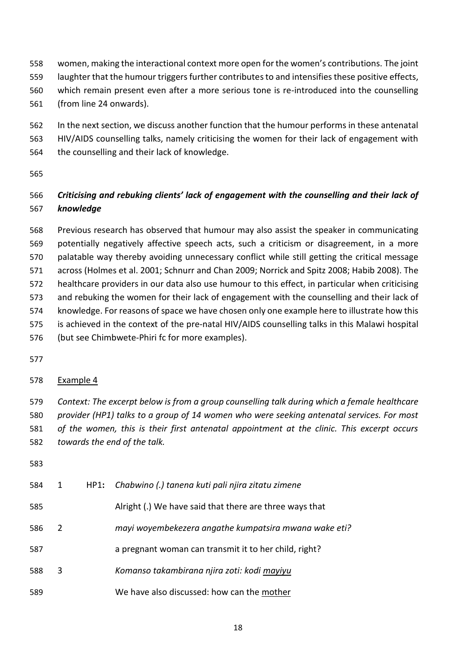- women, making the interactional context more open for the women's contributions. The joint laughter that the humour triggers further contributesto and intensifiesthese positive effects, which remain present even after a more serious tone is re-introduced into the counselling (from line 24 onwards).
- In the next section, we discuss another function that the humour performs in these antenatal HIV/AIDS counselling talks, namely criticising the women for their lack of engagement with
- the counselling and their lack of knowledge.
- 

# *Criticising and rebuking clients' lack of engagement with the counselling and their lack of knowledge*

 Previous research has observed that humour may also assist the speaker in communicating potentially negatively affective speech acts, such a criticism or disagreement, in a more palatable way thereby avoiding unnecessary conflict while still getting the critical message across (Holmes et al. 2001; Schnurr and Chan 2009; Norrick and Spitz 2008; Habib 2008). The healthcare providers in our data also use humour to this effect, in particular when criticising and rebuking the women for their lack of engagement with the counselling and their lack of knowledge. For reasons of space we have chosen only one example here to illustrate how this is achieved in the context of the pre-natal HIV/AIDS counselling talks in this Malawi hospital (but see Chimbwete-Phiri fc for more examples).

# Example 4

 *Context: The excerpt below is from a group counselling talk during which a female healthcare provider (HP1) talks to a group of 14 women who were seeking antenatal services. For most of the women, this is their first antenatal appointment at the clinic. This excerpt occurs towards the end of the talk.*

| 584 | $\mathbf{1}$ | HP1: Chabwino (.) tanena kuti pali njira zitatu zimene  |
|-----|--------------|---------------------------------------------------------|
| 585 |              | Alright (.) We have said that there are three ways that |
| 586 | 2            | mayi woyembekezera angathe kumpatsira mwana wake eti?   |
| 587 |              | a pregnant woman can transmit it to her child, right?   |
| 588 | 3            | Komanso takambirana njira zoti: kodi mayiyu             |
| 589 |              | We have also discussed: how can the mother              |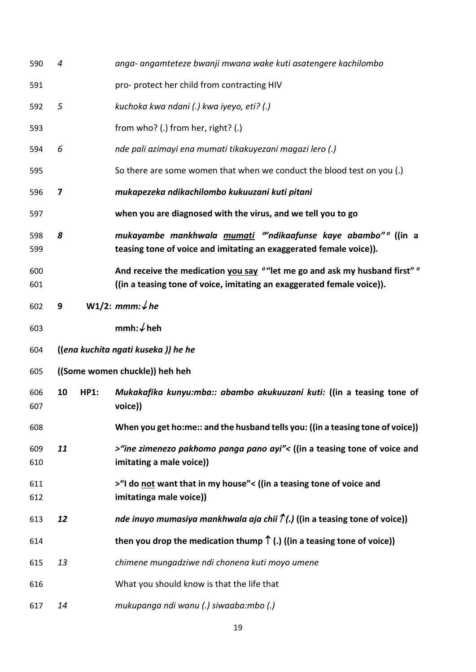| 590        | 4  |             | anga- angamteteze bwanji mwana wake kuti asatengere kachilombo                                                                                                              |
|------------|----|-------------|-----------------------------------------------------------------------------------------------------------------------------------------------------------------------------|
| 591        |    |             | pro- protect her child from contracting HIV                                                                                                                                 |
| 592        | 5  |             | kuchoka kwa ndani (.) kwa iyeyo, eti? (.)                                                                                                                                   |
| 593        |    |             | from who? (.) from her, right? (.)                                                                                                                                          |
| 594        | 6  |             | nde pali azimayi ena mumati tikakuyezani magazi lero (.)                                                                                                                    |
| 595        |    |             | So there are some women that when we conduct the blood test on you (.)                                                                                                      |
| 596        | 7  |             | mukapezeka ndikachilombo kukuuzani kuti pitani                                                                                                                              |
| 597        |    |             | when you are diagnosed with the virus, and we tell you to go                                                                                                                |
| 598<br>599 | 8  |             | mukayambe mankhwala mumati <sup>or</sup> ndikaafunse kaye abambo <sup>no</sup> ((in a<br>teasing tone of voice and imitating an exaggerated female voice)).                 |
| 600<br>601 |    |             | And receive the medication you say <sup>o</sup> "let me go and ask my husband first" <sup>o</sup><br>((in a teasing tone of voice, imitating an exaggerated female voice)). |
| 602        | 9  |             | W1/2: mmm: $\sqrt{he}$                                                                                                                                                      |
| 603        |    |             | mmh: $\sqrt{}$ heh                                                                                                                                                          |
| 604        |    |             | ((ena kuchita ngati kuseka)) he he                                                                                                                                          |
| 605        |    |             | ((Some women chuckle)) heh heh                                                                                                                                              |
| 606<br>607 | 10 | <b>HP1:</b> | Mukakafika kunyu:mba:: abambo akukuuzani kuti: ((in a teasing tone of<br>voice))                                                                                            |
| 608        |    |             | When you get ho:me:: and the husband tells you: ((in a teasing tone of voice))                                                                                              |
| 609<br>610 | 11 |             | >"ine zimenezo pakhomo panga pano ayi"< ((in a teasing tone of voice and<br>imitating a male voice))                                                                        |
| 611<br>612 |    |             | >"I do not want that in my house"< ((in a teasing tone of voice and<br>imitatinga male voice))                                                                              |
| 613        | 12 |             | nde inuyo mumasiya mankhwala aja chii $\hat{I}(.)$ ((in a teasing tone of voice))                                                                                           |
| 614        |    |             | then you drop the medication thump $\uparrow$ (.) ((in a teasing tone of voice))                                                                                            |
| 615        | 13 |             | chimene mungadziwe ndi chonena kuti moyo umene                                                                                                                              |
| 616        |    |             | What you should know is that the life that                                                                                                                                  |
| 617        | 14 |             | mukupanga ndi wanu (.) siwaaba:mbo (.)                                                                                                                                      |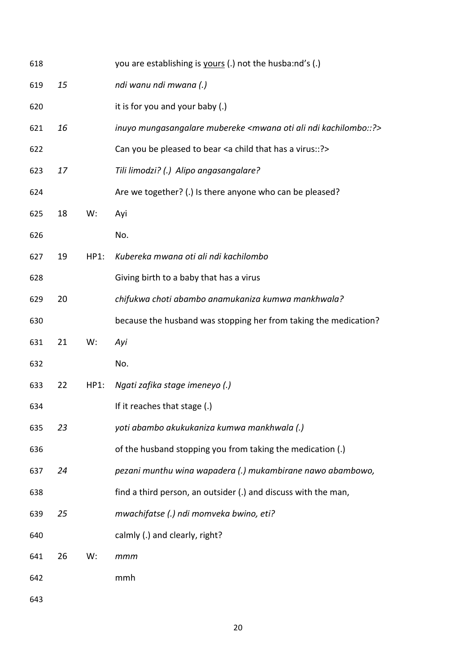| 618 |    |      | you are establishing is yours (.) not the husbaind's (.)                            |
|-----|----|------|-------------------------------------------------------------------------------------|
| 619 | 15 |      | ndi wanu ndi mwana (.)                                                              |
| 620 |    |      | it is for you and your baby (.)                                                     |
| 621 | 16 |      | inuyo mungasangalare mubereke <mwana ali="" kachilombo::?="" ndi="" oti=""></mwana> |
| 622 |    |      | Can you be pleased to bear <a a="" child="" has="" that="" virus::?=""></a>         |
| 623 | 17 |      | Tili limodzi? (.) Alipo angasangalare?                                              |
| 624 |    |      | Are we together? (.) Is there anyone who can be pleased?                            |
| 625 | 18 | W:   | Ayi                                                                                 |
| 626 |    |      | No.                                                                                 |
| 627 | 19 | HP1: | Kubereka mwana oti ali ndi kachilombo                                               |
| 628 |    |      | Giving birth to a baby that has a virus                                             |
| 629 | 20 |      | chifukwa choti abambo anamukaniza kumwa mankhwala?                                  |
| 630 |    |      | because the husband was stopping her from taking the medication?                    |
|     |    |      |                                                                                     |
| 631 | 21 | W:   | Ayi                                                                                 |
| 632 |    |      | No.                                                                                 |
| 633 | 22 | HP1: | Ngati zafika stage imeneyo (.)                                                      |
| 634 |    |      | If it reaches that stage (.)                                                        |
| 635 | 23 |      | yoti abambo akukukaniza kumwa mankhwala (.)                                         |
| 636 |    |      | of the husband stopping you from taking the medication (.)                          |
| 637 | 24 |      | pezani munthu wina wapadera (.) mukambirane nawo abambowo,                          |
| 638 |    |      | find a third person, an outsider (.) and discuss with the man,                      |
| 639 | 25 |      | mwachifatse (.) ndi momveka bwino, eti?                                             |
| 640 |    |      | calmly (.) and clearly, right?                                                      |
| 641 | 26 | W:   | mmm                                                                                 |
| 642 |    |      | mmh                                                                                 |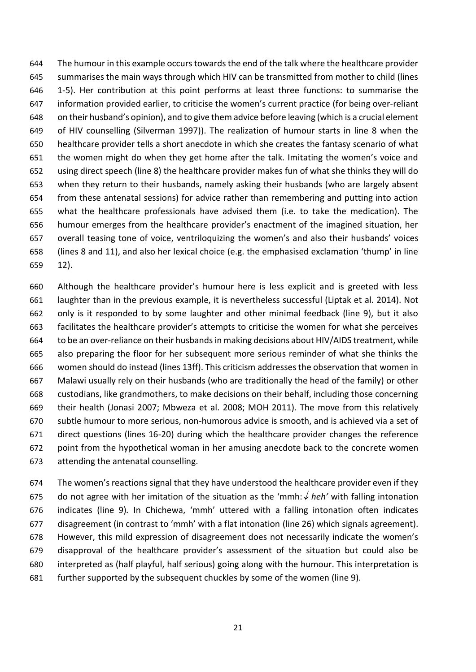The humour in this example occurs towards the end of the talk where the healthcare provider summarises the main ways through which HIV can be transmitted from mother to child (lines 1-5). Her contribution at this point performs at least three functions: to summarise the information provided earlier, to criticise the women's current practice (for being over-reliant on their husband's opinion), and to give them advice before leaving (which is a crucial element of HIV counselling (Silverman 1997)). The realization of humour starts in line 8 when the healthcare provider tells a short anecdote in which she creates the fantasy scenario of what the women might do when they get home after the talk. Imitating the women's voice and using direct speech (line 8) the healthcare provider makes fun of what she thinks they will do when they return to their husbands, namely asking their husbands (who are largely absent from these antenatal sessions) for advice rather than remembering and putting into action what the healthcare professionals have advised them (i.e. to take the medication). The humour emerges from the healthcare provider's enactment of the imagined situation, her overall teasing tone of voice, ventriloquizing the women's and also their husbands' voices (lines 8 and 11), and also her lexical choice (e.g. the emphasised exclamation 'thump' in line 12).

 Although the healthcare provider's humour here is less explicit and is greeted with less laughter than in the previous example, it is nevertheless successful (Liptak et al. 2014). Not only is it responded to by some laughter and other minimal feedback (line 9), but it also facilitates the healthcare provider's attempts to criticise the women for what she perceives 664 to be an over-reliance on their husbands in making decisions about HIV/AIDS treatment, while also preparing the floor for her subsequent more serious reminder of what she thinks the women should do instead (lines 13ff). This criticism addresses the observation that women in Malawi usually rely on their husbands (who are traditionally the head of the family) or other custodians, like grandmothers, to make decisions on their behalf, including those concerning their health (Jonasi 2007; Mbweza et al. 2008; MOH 2011). The move from this relatively subtle humour to more serious, non-humorous advice is smooth, and is achieved via a set of direct questions (lines 16-20) during which the healthcare provider changes the reference point from the hypothetical woman in her amusing anecdote back to the concrete women attending the antenatal counselling.

 The women's reactions signal that they have understood the healthcare provider even if they 675 do not agree with her imitation of the situation as the 'mmh:  $\sqrt{heh}$ ' with falling intonation indicates (line 9)*.* In Chichewa, 'mmh' uttered with a falling intonation often indicates disagreement (in contrast to 'mmh' with a flat intonation (line 26) which signals agreement). However, this mild expression of disagreement does not necessarily indicate the women's disapproval of the healthcare provider's assessment of the situation but could also be interpreted as (half playful, half serious) going along with the humour. This interpretation is further supported by the subsequent chuckles by some of the women (line 9).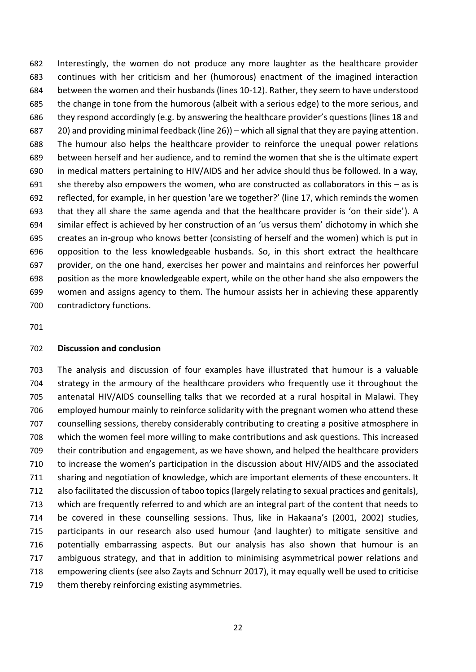Interestingly, the women do not produce any more laughter as the healthcare provider continues with her criticism and her (humorous) enactment of the imagined interaction between the women and their husbands (lines 10-12). Rather, they seem to have understood the change in tone from the humorous (albeit with a serious edge) to the more serious, and they respond accordingly (e.g. by answering the healthcare provider's questions (lines 18 and 20) and providing minimal feedback (line 26)) – which all signal that they are paying attention. The humour also helps the healthcare provider to reinforce the unequal power relations between herself and her audience, and to remind the women that she is the ultimate expert in medical matters pertaining to HIV/AIDS and her advice should thus be followed. In a way, 691 she thereby also empowers the women, who are constructed as collaborators in this  $-$  as is reflected, for example, in her question 'are we together?' (line 17, which reminds the women that they all share the same agenda and that the healthcare provider is 'on their side'). A similar effect is achieved by her construction of an 'us versus them' dichotomy in which she creates an in-group who knows better (consisting of herself and the women) which is put in opposition to the less knowledgeable husbands. So, in this short extract the healthcare provider, on the one hand, exercises her power and maintains and reinforces her powerful position as the more knowledgeable expert, while on the other hand she also empowers the women and assigns agency to them. The humour assists her in achieving these apparently contradictory functions.

#### **Discussion and conclusion**

 The analysis and discussion of four examples have illustrated that humour is a valuable strategy in the armoury of the healthcare providers who frequently use it throughout the antenatal HIV/AIDS counselling talks that we recorded at a rural hospital in Malawi. They employed humour mainly to reinforce solidarity with the pregnant women who attend these counselling sessions, thereby considerably contributing to creating a positive atmosphere in which the women feel more willing to make contributions and ask questions. This increased their contribution and engagement, as we have shown, and helped the healthcare providers to increase the women's participation in the discussion about HIV/AIDS and the associated sharing and negotiation of knowledge, which are important elements of these encounters. It also facilitated the discussion of taboo topics (largely relating to sexual practices and genitals), which are frequently referred to and which are an integral part of the content that needs to be covered in these counselling sessions. Thus, like in Hakaana's (2001, 2002) studies, participants in our research also used humour (and laughter) to mitigate sensitive and potentially embarrassing aspects. But our analysis has also shown that humour is an ambiguous strategy, and that in addition to minimising asymmetrical power relations and empowering clients (see also Zayts and Schnurr 2017), it may equally well be used to criticise 719 them thereby reinforcing existing asymmetries.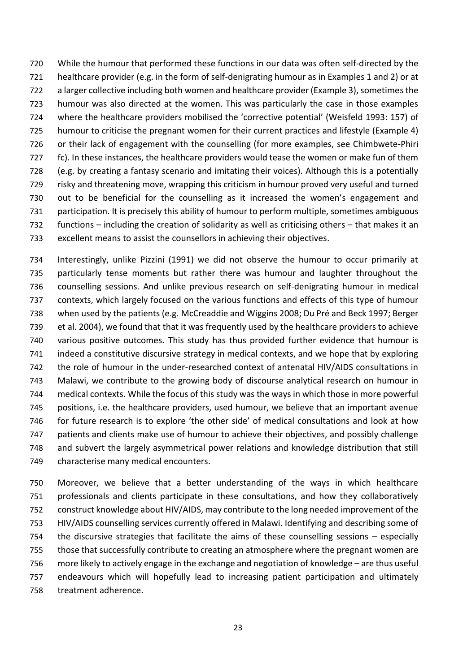While the humour that performed these functions in our data was often self-directed by the healthcare provider (e.g. in the form of self-denigrating humour as in Examples 1 and 2) or at a larger collective including both women and healthcare provider (Example 3), sometimesthe humour was also directed at the women. This was particularly the case in those examples where the healthcare providers mobilised the 'corrective potential' (Weisfeld 1993: 157) of humour to criticise the pregnant women for their current practices and lifestyle (Example 4) or their lack of engagement with the counselling (for more examples, see Chimbwete-Phiri fc). In these instances, the healthcare providers would tease the women or make fun of them (e.g. by creating a fantasy scenario and imitating their voices). Although this is a potentially risky and threatening move, wrapping this criticism in humour proved very useful and turned out to be beneficial for the counselling as it increased the women's engagement and participation. It is precisely this ability of humour to perform multiple, sometimes ambiguous functions – including the creation of solidarity as well as criticising others – that makes it an excellent means to assist the counsellors in achieving their objectives.

 Interestingly, unlike Pizzini (1991) we did not observe the humour to occur primarily at particularly tense moments but rather there was humour and laughter throughout the counselling sessions. And unlike previous research on self-denigrating humour in medical contexts, which largely focused on the various functions and effects of this type of humour when used by the patients (e.g. McCreaddie and Wiggins 2008; Du Pré and Beck 1997; Berger et al. 2004), we found that that it was frequently used by the healthcare providers to achieve various positive outcomes. This study has thus provided further evidence that humour is indeed a constitutive discursive strategy in medical contexts, and we hope that by exploring the role of humour in the under-researched context of antenatal HIV/AIDS consultations in Malawi, we contribute to the growing body of discourse analytical research on humour in medical contexts. While the focus of this study was the ways in which those in more powerful positions, i.e. the healthcare providers, used humour, we believe that an important avenue for future research is to explore 'the other side' of medical consultations and look at how patients and clients make use of humour to achieve their objectives, and possibly challenge and subvert the largely asymmetrical power relations and knowledge distribution that still characterise many medical encounters.

 Moreover, we believe that a better understanding of the ways in which healthcare professionals and clients participate in these consultations, and how they collaboratively construct knowledge about HIV/AIDS, may contribute to the long needed improvement of the HIV/AIDS counselling services currently offered in Malawi. Identifying and describing some of the discursive strategies that facilitate the aims of these counselling sessions – especially those that successfully contribute to creating an atmosphere where the pregnant women are more likely to actively engage in the exchange and negotiation of knowledge – are thus useful endeavours which will hopefully lead to increasing patient participation and ultimately treatment adherence.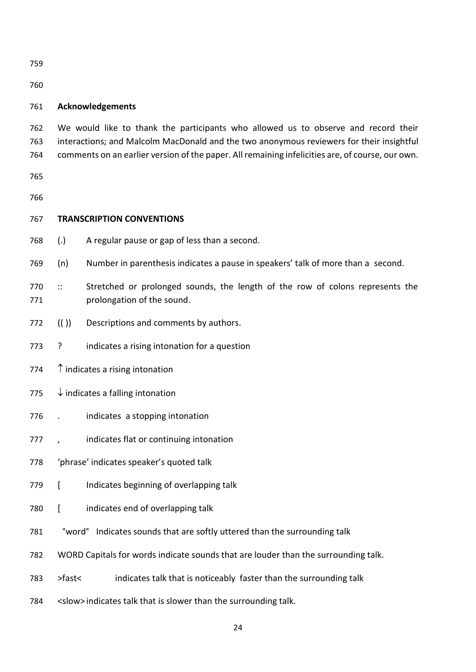## **Acknowledgements**

 We would like to thank the participants who allowed us to observe and record their interactions; and Malcolm MacDonald and the two anonymous reviewers for their insightful comments on an earlier version of the paper. All remaining infelicities are, of course, our own.

## **TRANSCRIPTION CONVENTIONS**

- (.) A regular pause or gap of less than a second.
- (n) Number in parenthesis indicates a pause in speakers' talk of more than a second.
- 770 :: Stretched or prolonged sounds, the length of the row of colons represents the 771 prolongation of the sound.
- (( )) Descriptions and comments by authors.
- ? indicates a rising intonation for a question
- 774  $\uparrow$  indicates a rising intonation
- 775  $\downarrow$  indicates a falling intonation
- . indicates a stopping intonation
- , indicates flat or continuing intonation
- 'phrase' indicates speaker's quoted talk
- [ Indicates beginning of overlapping talk
- [ indicates end of overlapping talk
- °word° Indicates sounds that are softly uttered than the surrounding talk
- WORD Capitals for words indicate sounds that are louder than the surrounding talk.
- 783 >fast< indicates talk that is noticeably faster than the surrounding talk
- <slow> indicates talk that is slower than the surrounding talk.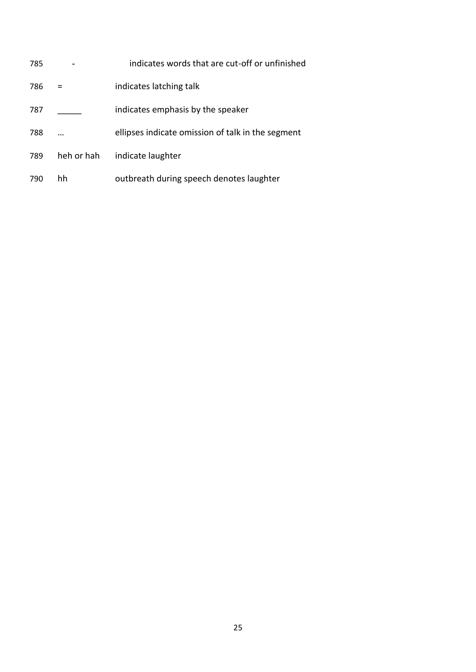| 785 |            | indicates words that are cut-off or unfinished    |
|-----|------------|---------------------------------------------------|
| 786 |            | indicates latching talk                           |
| 787 |            | indicates emphasis by the speaker                 |
| 788 |            | ellipses indicate omission of talk in the segment |
| 789 | heh or hah | indicate laughter                                 |
| 790 | hh         | outbreath during speech denotes laughter          |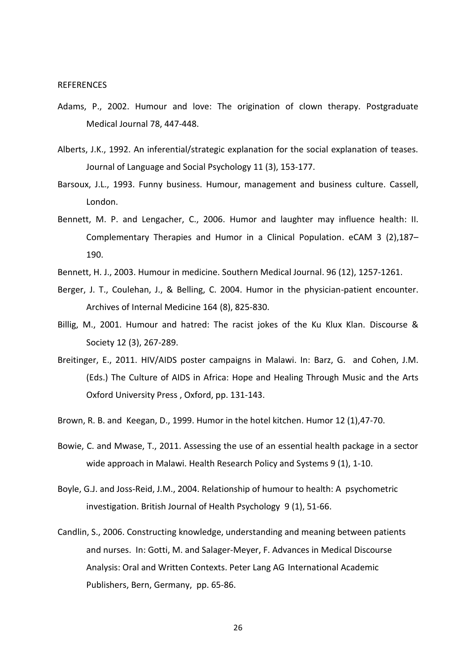#### **REFERENCES**

- Adams, P., 2002. Humour and love: The origination of clown therapy. Postgraduate Medical Journal 78, 447-448.
- Alberts, J.K., 1992. An inferential/strategic explanation for the social explanation of teases. Journal of Language and Social Psychology 11 (3), 153-177.
- Barsoux, J.L., 1993. Funny business. Humour, management and business culture. Cassell, London.
- Bennett, M. P. and Lengacher, C., 2006. Humor and laughter may influence health: II. Complementary Therapies and Humor in a Clinical Population. eCAM 3 (2),187– 190.
- Bennett, H. J., 2003. Humour in medicine. Southern Medical Journal. 96 (12), 1257-1261.
- Berger, J. T., Coulehan, J., & Belling, C. 2004. Humor in the physician-patient encounter. Archives of Internal Medicine 164 (8), 825-830.
- Billig, M., 2001. Humour and hatred: The racist jokes of the Ku Klux Klan. Discourse & Society 12 (3), 267-289.
- Breitinger, E., 2011. HIV/AIDS poster campaigns in Malawi. In: Barz, G. and Cohen, J.M. (Eds.) The Culture of AIDS in Africa: Hope and Healing Through Music and the Arts Oxford University Press , Oxford, pp. 131-143.
- Brown, R. B. and Keegan, D., 1999. Humor in the hotel kitchen. Humor 12 (1),47-70.
- Bowie, C. and Mwase, T., 2011. Assessing the use of an essential health package in a sector wide approach in Malawi. Health Research Policy and Systems 9 (1), 1-10.
- Boyle, G.J. and Joss‐Reid, J.M., 2004. Relationship of humour to health: A psychometric investigation. British Journal of Health Psychology 9 (1), 51-66.
- Candlin, S., 2006. Constructing knowledge, understanding and meaning between patients and nurses. In: Gotti, M. and Salager-Meyer, F. Advances in Medical Discourse Analysis: Oral and Written Contexts. Peter Lang AG International Academic Publishers, Bern, Germany, pp. 65-86.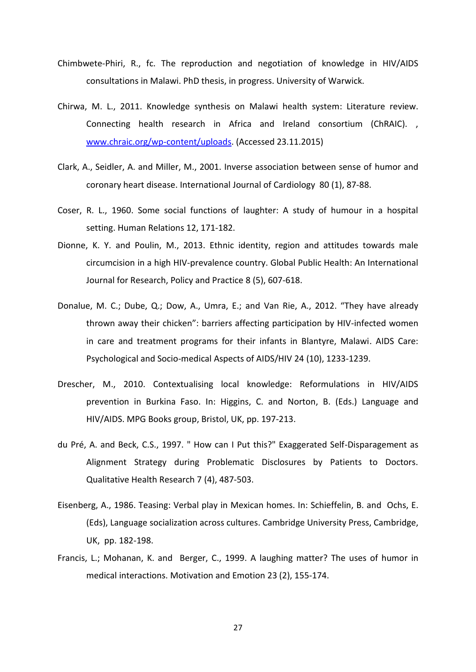- Chimbwete-Phiri, R., fc. The reproduction and negotiation of knowledge in HIV/AIDS consultations in Malawi. PhD thesis, in progress. University of Warwick.
- Chirwa, M. L., 2011. Knowledge synthesis on Malawi health system: Literature review. Connecting health research in Africa and Ireland consortium (ChRAIC). , [www.chraic.org/wp-content/uploads.](http://www.chraic.org/wp-content/uploads) (Accessed 23.11.2015)
- Clark, A., Seidler, A. and Miller, M., 2001. Inverse association between sense of humor and coronary heart disease. International Journal of Cardiology 80 (1), 87-88.
- Coser, R. L., 1960. Some social functions of laughter: A study of humour in a hospital setting. Human Relations 12, 171-182.
- Dionne, K. Y. and Poulin, M., 2013. Ethnic identity, region and attitudes towards male circumcision in a high HIV-prevalence country. Global Public Health: An International Journal for Research, Policy and Practice 8 (5), 607-618.
- Donalue, M. C.; Dube, Q.; Dow, A., Umra, E.; and Van Rie, A., 2012. "They have already thrown away their chicken": barriers affecting participation by HIV-infected women in care and treatment programs for their infants in Blantyre, Malawi. AIDS Care: Psychological and Socio-medical Aspects of AIDS/HIV 24 (10), 1233-1239.
- Drescher, M., 2010. Contextualising local knowledge: Reformulations in HIV/AIDS prevention in Burkina Faso. In: Higgins, C. and Norton, B. (Eds.) Language and HIV/AIDS. MPG Books group, Bristol, UK, pp. 197-213.
- du Pré, A. and Beck, C.S., 1997. " How can I Put this?" Exaggerated Self-Disparagement as Alignment Strategy during Problematic Disclosures by Patients to Doctors. Qualitative Health Research 7 (4), 487-503.
- Eisenberg, A., 1986. Teasing: Verbal play in Mexican homes. In: Schieffelin, B. and Ochs, E. (Eds), Language socialization across cultures. Cambridge University Press, Cambridge, UK, pp. 182-198.
- Francis, L.; Mohanan, K. and Berger, C., 1999. A laughing matter? The uses of humor in medical interactions. Motivation and Emotion 23 (2), 155-174.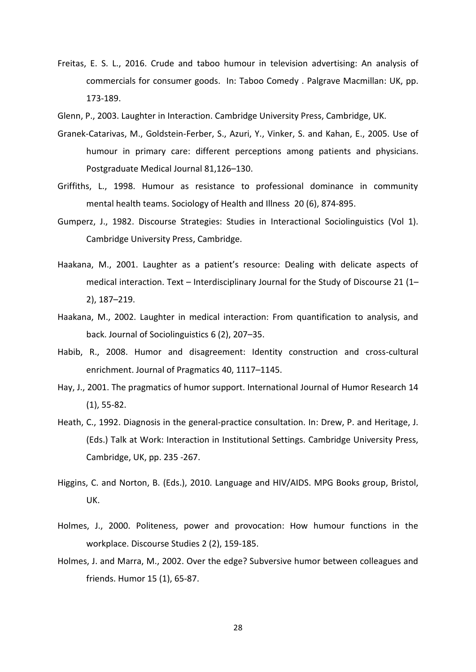- Freitas, E. S. L., 2016. Crude and taboo humour in television advertising: An analysis of commercials for consumer goods. In: Taboo Comedy . Palgrave Macmillan: UK, pp. 173-189.
- Glenn, P., 2003. Laughter in Interaction. Cambridge University Press, Cambridge, UK.
- Granek-Catarivas, M., Goldstein-Ferber, S., Azuri, Y., Vinker, S. and Kahan, E., 2005. Use of humour in primary care: different perceptions among patients and physicians. Postgraduate Medical Journal 81,126–130.
- Griffiths, L., 1998. Humour as resistance to professional dominance in community mental health teams. Sociology of Health and Illness 20 (6), 874-895.
- Gumperz, J., 1982. Discourse Strategies: Studies in Interactional Sociolinguistics (Vol 1). Cambridge University Press, Cambridge.
- Haakana, M., 2001. Laughter as a patient's resource: Dealing with delicate aspects of medical interaction. Text – Interdisciplinary Journal for the Study of Discourse 21 (1– 2), 187–219.
- Haakana, M., 2002. Laughter in medical interaction: From quantification to analysis, and back. Journal of Sociolinguistics 6 (2), 207–35.
- Habib, R., 2008. Humor and disagreement: Identity construction and cross-cultural enrichment. Journal of Pragmatics 40, 1117–1145.
- Hay, J., 2001. The pragmatics of humor support. International Journal of Humor Research 14 (1), 55-82.
- Heath, C., 1992. Diagnosis in the general-practice consultation. In: Drew, P. and Heritage, J. (Eds.) Talk at Work: Interaction in Institutional Settings. Cambridge University Press, Cambridge, UK, pp. 235 -267.
- Higgins, C. and Norton, B. (Eds.), 2010. Language and HIV/AIDS. MPG Books group, Bristol, UK.
- Holmes, J., 2000. Politeness, power and provocation: How humour functions in the workplace. Discourse Studies 2 (2), 159-185.
- Holmes, J. and Marra, M., 2002. Over the edge? Subversive humor between colleagues and friends. Humor 15 (1), 65-87.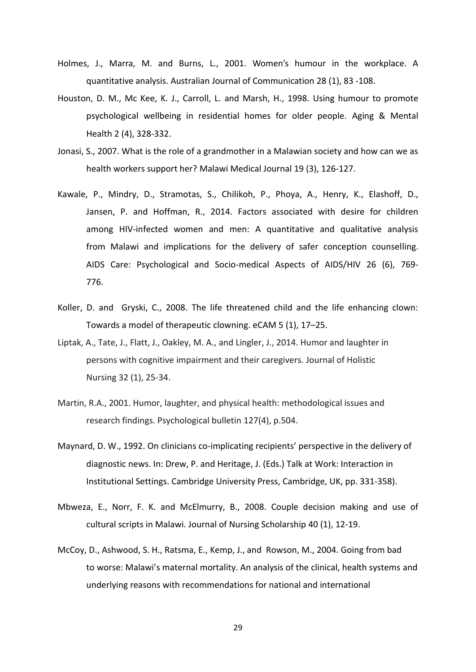- Holmes, J., Marra, M. and Burns, L., 2001. Women's humour in the workplace. A quantitative analysis. Australian Journal of Communication 28 (1), 83 ‐108.
- Houston, D. M., Mc Kee, K. J., Carroll, L. and Marsh, H., 1998. Using humour to promote psychological wellbeing in residential homes for older people. Aging & Mental Health 2 (4), 328-332.
- Jonasi, S., 2007. What is the role of a grandmother in a Malawian society and how can we as health workers support her? Malawi Medical Journal 19 (3), 126-127.
- Kawale, P., Mindry, D., Stramotas, S., Chilikoh, P., Phoya, A., Henry, K., Elashoff, D., Jansen, P. and Hoffman, R., 2014. Factors associated with desire for children among HIV-infected women and men: A quantitative and qualitative analysis from Malawi and implications for the delivery of safer conception counselling. AIDS Care: Psychological and Socio-medical Aspects of AIDS/HIV 26 (6), 769- 776.
- Koller, D. and Gryski, C., 2008. The life threatened child and the life enhancing clown: Towards a model of therapeutic clowning. eCAM 5 (1), 17–25.
- Liptak, A., Tate, J., Flatt, J., Oakley, M. A., and Lingler, J., 2014. Humor and laughter in persons with cognitive impairment and their caregivers. Journal of Holistic Nursing 32 (1), 25-34.
- Martin, R.A., 2001. Humor, laughter, and physical health: methodological issues and research findings. Psychological bulletin 127(4), p.504.
- Maynard, D. W., 1992. On clinicians co-implicating recipients' perspective in the delivery of diagnostic news. In: Drew, P. and Heritage, J. (Eds.) Talk at Work: Interaction in Institutional Settings. Cambridge University Press, Cambridge, UK, pp. 331-358).
- Mbweza, E., Norr, F. K. and McElmurry, B., 2008. Couple decision making and use of cultural scripts in Malawi. Journal of Nursing Scholarship 40 (1), 12-19.
- McCoy, D., Ashwood, S. H., Ratsma, E., Kemp, J., and Rowson, M., 2004. Going from bad to worse: Malawi's maternal mortality. An analysis of the clinical, health systems and underlying reasons with recommendations for national and international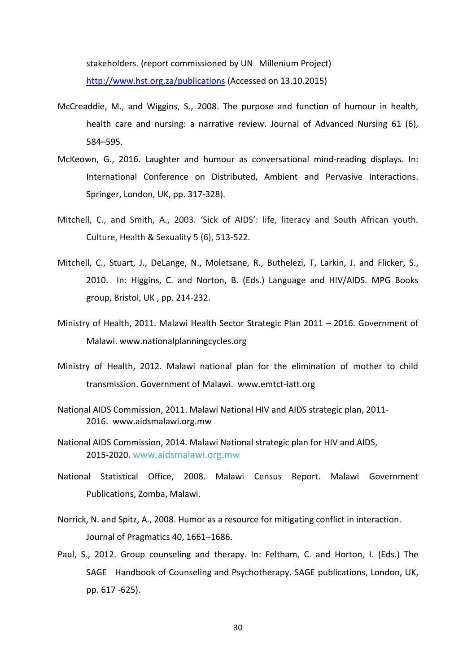stakeholders. (report commissioned by UN Millenium Project)

<http://www.hst.org.za/publications> (Accessed on 13.10.2015)

- McCreaddie, M., and Wiggins, S., 2008. The purpose and function of humour in health, health care and nursing: a narrative review. Journal of Advanced Nursing 61 (6), 584–595.
- McKeown, G., 2016. Laughter and humour as conversational mind-reading displays. In: International Conference on Distributed, Ambient and Pervasive Interactions. Springer, London, UK, pp. 317-328).
- Mitchell, C., and Smith, A., 2003. 'Sick of AIDS': life, literacy and South African youth. Culture, Health & Sexuality 5 (6), 513-522.
- Mitchell, C., Stuart, J., DeLange, N., Moletsane, R., Buthelezi, T, Larkin, J. and Flicker, S., 2010. In: Higgins, C. and Norton, B. (Eds.) Language and HIV/AIDS. MPG Books group, Bristol, UK , pp. 214-232.
- Ministry of Health, 2011. Malawi Health Sector Strategic Plan 2011 2016. Government of Malawi. www.nationalplanningcycles.org
- Ministry of Health, 2012. Malawi national plan for the elimination of mother to child transmission. Government of Malawi. www.emtct-iatt.org
- National AIDS Commission, 2011. Malawi National HIV and AIDS strategic plan, 2011- 2016. www.aidsmalawi.org.mw
- National AIDS Commission, 2014. Malawi National strategic plan for HIV and AIDS, 2015-2020. www.aidsmalawi.org.mw
- National Statistical Office, 2008. Malawi Census Report. Malawi Government Publications, Zomba, Malawi.
- Norrick, N. and Spitz, A., 2008. Humor as a resource for mitigating conflict in interaction. Journal of Pragmatics 40, 1661–1686.
- Paul, S., 2012. Group counseling and therapy. In: Feltham, C. and Horton, I. (Eds.) The SAGE Handbook of Counseling and Psychotherapy. SAGE publications, London, UK, pp. 617 -625).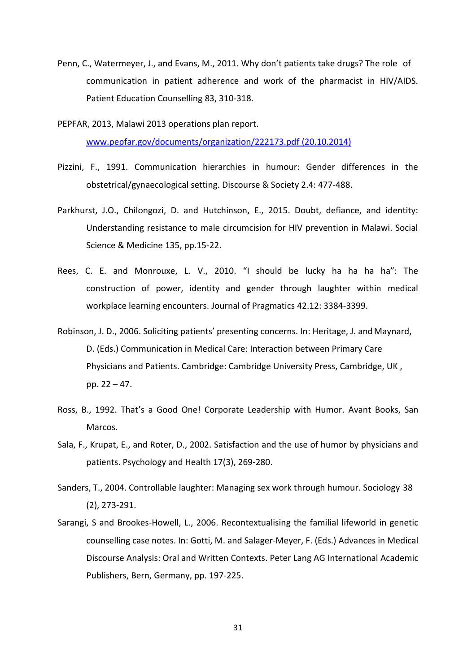- Penn, C., Watermeyer, J., and Evans, M., 2011. Why don't patients take drugs? The role of communication in patient adherence and work of the pharmacist in HIV/AIDS. Patient Education Counselling 83, 310-318.
- PEPFAR, 2013, Malawi 2013 operations plan report. [www.pepfar.gov/documents/organization/222173.pdf](http://www.pepfar.gov/documents/organization/222173.pdf) (20.10.2014)
- Pizzini, F., 1991. Communication hierarchies in humour: Gender differences in the obstetrical/gynaecological setting. Discourse & Society 2.4: 477-488.
- Parkhurst, J.O., Chilongozi, D. and Hutchinson, E., 2015. Doubt, defiance, and identity: Understanding resistance to male circumcision for HIV prevention in Malawi. Social Science & Medicine 135, pp.15-22.
- Rees, C. E. and Monrouxe, L. V., 2010. "I should be lucky ha ha ha ha": The construction of power, identity and gender through laughter within medical workplace learning encounters. Journal of Pragmatics 42.12: 3384-3399.
- Robinson, J. D., 2006. Soliciting patients' presenting concerns. In: Heritage, J. and Maynard, D. (Eds.) Communication in Medical Care: Interaction between Primary Care Physicians and Patients. Cambridge: Cambridge University Press, Cambridge, UK , pp. 22 – 47.
- Ross, B., 1992. That's a Good One! Corporate Leadership with Humor. Avant Books, San Marcos.
- Sala, F., Krupat, E., and Roter, D., 2002. Satisfaction and the use of humor by physicians and patients. Psychology and Health 17(3), 269-280.
- Sanders, T., 2004. Controllable laughter: Managing sex work through humour. Sociology 38 (2), 273-291.
- Sarangi, S and Brookes-Howell, L., 2006. Recontextualising the familial lifeworld in genetic counselling case notes. In: Gotti, M. and Salager-Meyer, F. (Eds.) Advances in Medical Discourse Analysis: Oral and Written Contexts. Peter Lang AG International Academic Publishers, Bern, Germany, pp. 197-225.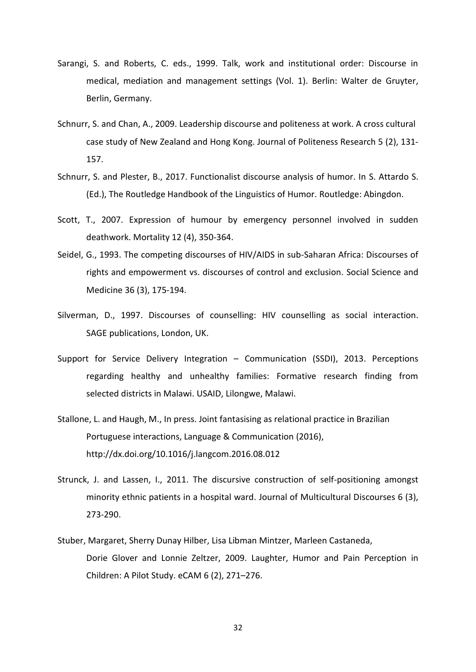- Sarangi, S. and Roberts, C. eds., 1999. Talk, work and institutional order: Discourse in medical, mediation and management settings (Vol. 1). Berlin: Walter de Gruyter, Berlin, Germany.
- Schnurr, S. and Chan, A., 2009. Leadership discourse and politeness at work. A cross cultural case study of New Zealand and Hong Kong. Journal of Politeness Research 5 (2), 131- 157.
- Schnurr, S. and Plester, B., 2017. Functionalist discourse analysis of humor. In S. Attardo S. (Ed.), The Routledge Handbook of the Linguistics of Humor. Routledge: Abingdon.
- Scott, T., 2007. Expression of humour by emergency personnel involved in sudden deathwork. Mortality 12 (4), 350-364.
- Seidel, G., 1993. The competing discourses of HIV/AIDS in sub-Saharan Africa: Discourses of rights and empowerment vs. discourses of control and exclusion. Social Science and Medicine 36 (3), 175-194.
- Silverman, D., 1997. Discourses of counselling: HIV counselling as social interaction. SAGE publications, London, UK.
- Support for Service Delivery Integration Communication (SSDI), 2013. Perceptions regarding healthy and unhealthy families: Formative research finding from selected districts in Malawi. USAID, Lilongwe, Malawi.
- Stallone, L. and Haugh, M., In press. Joint fantasising as relational practice in Brazilian Portuguese interactions, Language & Communication (2016), http://dx.doi.org/10.1016/j.langcom.2016.08.012
- Strunck, J. and Lassen, I., 2011. The discursive construction of self-positioning amongst minority ethnic patients in a hospital ward. Journal of Multicultural Discourses 6 (3), 273-290.
- Stuber, Margaret, Sherry Dunay Hilber, Lisa Libman Mintzer, Marleen Castaneda, Dorie Glover and Lonnie Zeltzer, 2009. Laughter, Humor and Pain Perception in Children: A Pilot Study. eCAM 6 (2), 271–276.